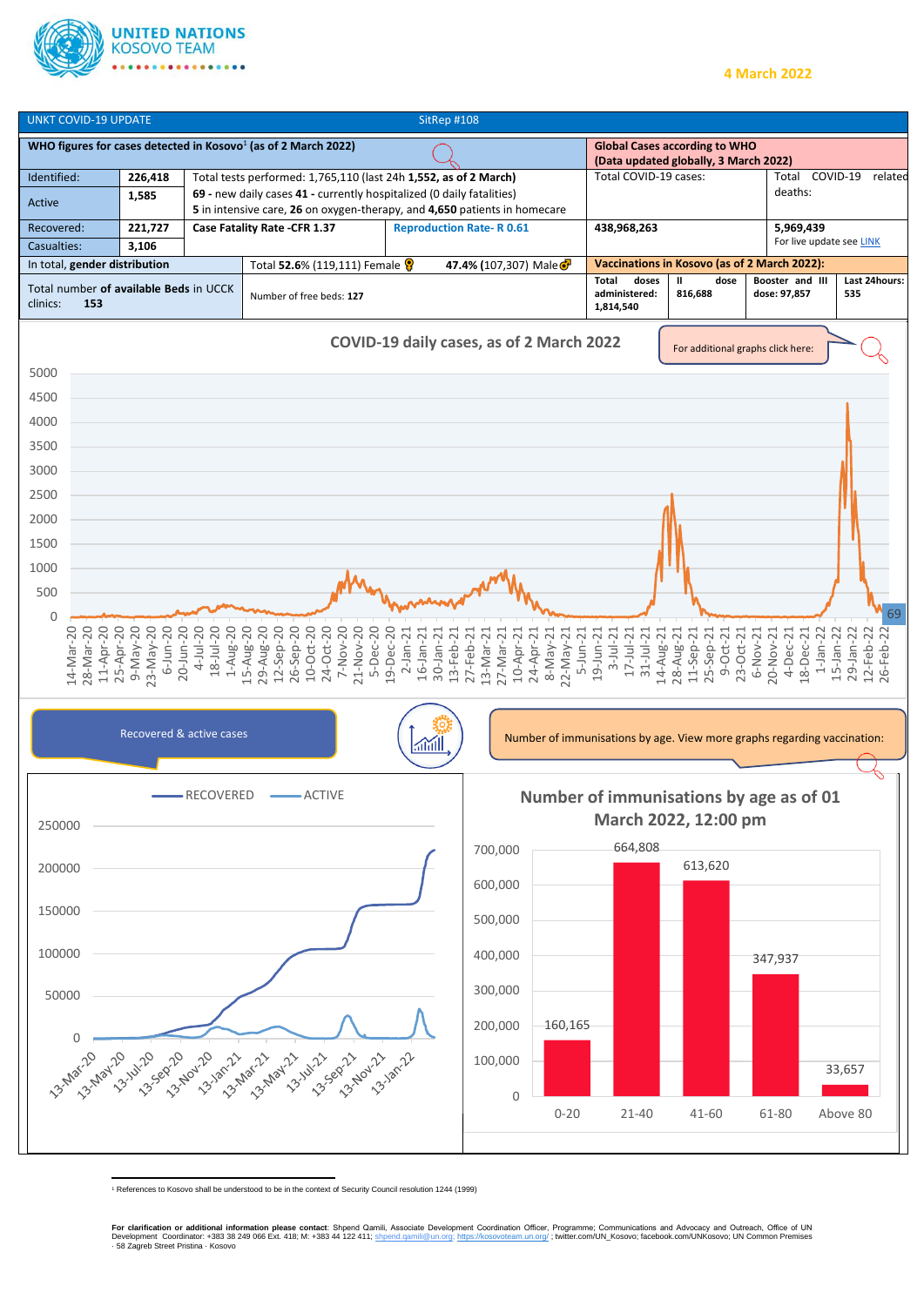

## **4 March 2022**



<sup>1</sup> References to Kosovo shall be understood to be in the context of Security Council resolution 1244 (1999)

**For clarification or additional information please contact**: Shpend Qamili, Associate Development Coordination Officer, Programme; Communications and Advocacy and Outreach, Office of UN<br>Development Coordinator: +383 38 2